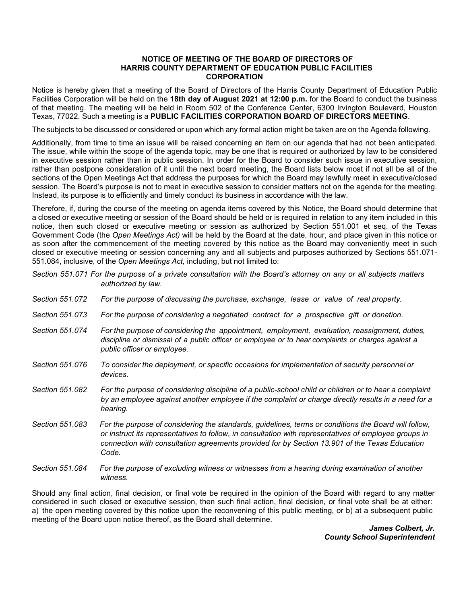## **HARRIS COUNTY DEPARTMENT OF EDUCATION PUBLIC FACILITIES NOTICE OF MEETING OF THE BOARD OF DIRECTORS OF CORPORATION**

 Notice is hereby given that a meeting of the Board of Directors of the Harris County Department of Education Public of that meeting. The meeting will be held in Room 502 of the Conference Center, 6300 Irvington Boulevard, Houston Texas, 77022. Such a meeting is a **PUBLIC FACILITIES CORPORATION BOARD OF DIRECTORS MEETING**. Facilities Corporation will be held on the **18th day of August 2021 at 12:00 p.m.** for the Board to conduct the business

The subjects to be discussed or considered or upon which any formal action might be taken are on the Agenda following.

 Additionally, from time to time an issue will be raised concerning an item on our agenda that had not been anticipated. in executive session rather than in public session. In order for the Board to consider such issue in executive session, rather than postpone consideration of it until the next board meeting, the Board lists below most if not all be all of the Instead, its purpose is to efficiently and timely conduct its business in accordance with the law. The issue, while within the scope of the agenda topic, may be one that is required or authorized by law to be considered sections of the Open Meetings Act that address the purposes for which the Board may lawfully meet in executive/closed session. The Board's purpose is not to meet in executive session to consider matters not on the agenda for the meeting.

 a closed or executive meeting or session of the Board should be held or is required in relation to any item included in this  Government Code (the *Open Meetings Act)* will be held by the Board at the date, hour, and place given in this notice or as soon after the commencement of the meeting covered by this notice as the Board may conveniently meet in such closed or executive meeting or session concerning any and all subjects and purposes authorized by Sections 551.071- 551.084, inclusive, of the *Open Meetings Act,* including, but not limited to: Therefore, if, during the course of the meeting on agenda items covered by this Notice, the Board should determine that notice, then such closed or executive meeting or session as authorized by Section 551.001 et seq. of the Texas

 *Section 551.071 For the purpose of a private consultation with the Board's attorney on any or all subjects matters authorized by law.* 

- Section 551,072 *Section 551.072 For the purpose of discussing the purchase, exchange, lease or value of real property.*
- Section 551,073 For the purpose of considering a negotiated contract for a prospective gift or donation.
- Section 551.074  *discipline or dismissal of a public officer or employee or to hear complaints or charges against a public officer or employee. Section 551.074 For the purpose of considering the appointment, employment, evaluation, reassignment, duties,*
- Section 551.076 *Section 551.076 To consider the deployment, or specific occasions for implementation of security personnel or devices.*
- Section 551,082  *by an employee against another employee if the complaint or charge directly results in a need for a Section 551.082 For the purpose of considering discipline of a public-school child or children or to hear a complaint hearing.*
- Section 551.083  *connection with consultation agreements provided for by Section 13.901 of the Texas Education Section 551.083 For the purpose of considering the standards, guidelines, terms or conditions the Board will follow, or instruct its representatives to follow, in consultation with representatives of employee groups in Code.*
- Section 551,084 *For the purpose of excluding witness or witnesses from a hearing during examination of another witness.*

 Should any final action, final decision, or final vote be required in the opinion of the Board with regard to any matter considered in such closed or executive session, then such final action, final decision, or final vote shall be at either: a) the open meeting covered by this notice upon the reconvening of this public meeting, or b) at a subsequent public meeting of the Board upon notice thereof, as the Board shall determine.

> *James Colbert, Jr. County School Superintendent*